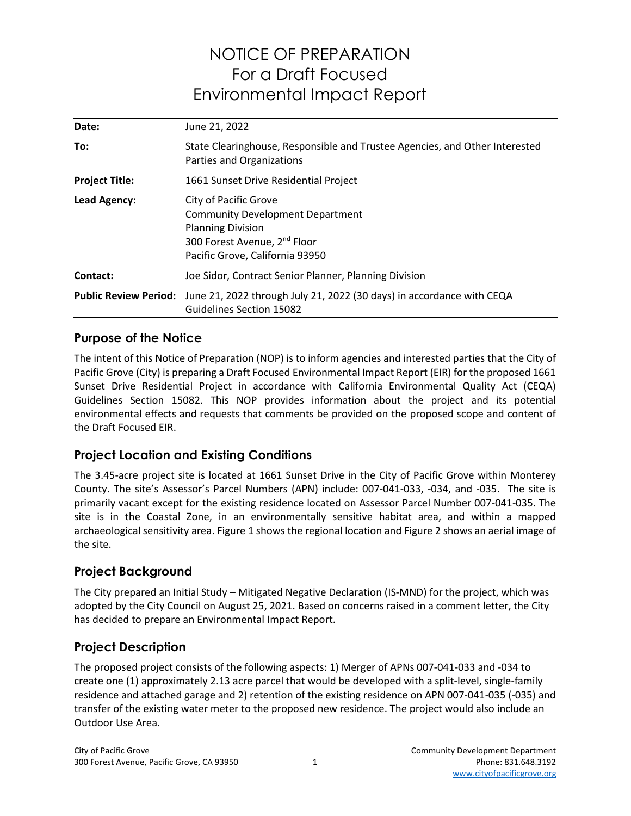# NOTICE OF PREPARATION For a Draft Focused Environmental Impact Report

| Date:                 | June 21, 2022                                                                                                                                                                      |
|-----------------------|------------------------------------------------------------------------------------------------------------------------------------------------------------------------------------|
| To:                   | State Clearinghouse, Responsible and Trustee Agencies, and Other Interested<br>Parties and Organizations                                                                           |
| <b>Project Title:</b> | 1661 Sunset Drive Residential Project                                                                                                                                              |
| Lead Agency:          | <b>City of Pacific Grove</b><br><b>Community Development Department</b><br><b>Planning Division</b><br>300 Forest Avenue, 2 <sup>nd</sup> Floor<br>Pacific Grove, California 93950 |
| Contact:              | Joe Sidor, Contract Senior Planner, Planning Division                                                                                                                              |
|                       | Public Review Period: June 21, 2022 through July 21, 2022 (30 days) in accordance with CEQA<br>Guidelines Section 15082                                                            |

#### Purpose of the Notice

The intent of this Notice of Preparation (NOP) is to inform agencies and interested parties that the City of Pacific Grove (City) is preparing a Draft Focused Environmental Impact Report (EIR) for the proposed 1661 Sunset Drive Residential Project in accordance with California Environmental Quality Act (CEQA) Guidelines Section 15082. This NOP provides information about the project and its potential environmental effects and requests that comments be provided on the proposed scope and content of the Draft Focused EIR.

#### Project Location and Existing Conditions

The 3.45-acre project site is located at 1661 Sunset Drive in the City of Pacific Grove within Monterey County. The site's Assessor's Parcel Numbers (APN) include: 007-041-033, -034, and -035. The site is primarily vacant except for the existing residence located on Assessor Parcel Number 007-041-035. The site is in the Coastal Zone, in an environmentally sensitive habitat area, and within a mapped archaeological sensitivity area. Figure 1 shows the regional location and Figure 2 shows an aerial image of the site.

#### Project Background

The City prepared an Initial Study – Mitigated Negative Declaration (IS-MND) for the project, which was adopted by the City Council on August 25, 2021. Based on concerns raised in a comment letter, the City has decided to prepare an Environmental Impact Report.

#### Project Description

The proposed project consists of the following aspects: 1) Merger of APNs 007-041-033 and -034 to create one (1) approximately 2.13 acre parcel that would be developed with a split-level, single-family residence and attached garage and 2) retention of the existing residence on APN 007-041-035 (-035) and transfer of the existing water meter to the proposed new residence. The project would also include an Outdoor Use Area.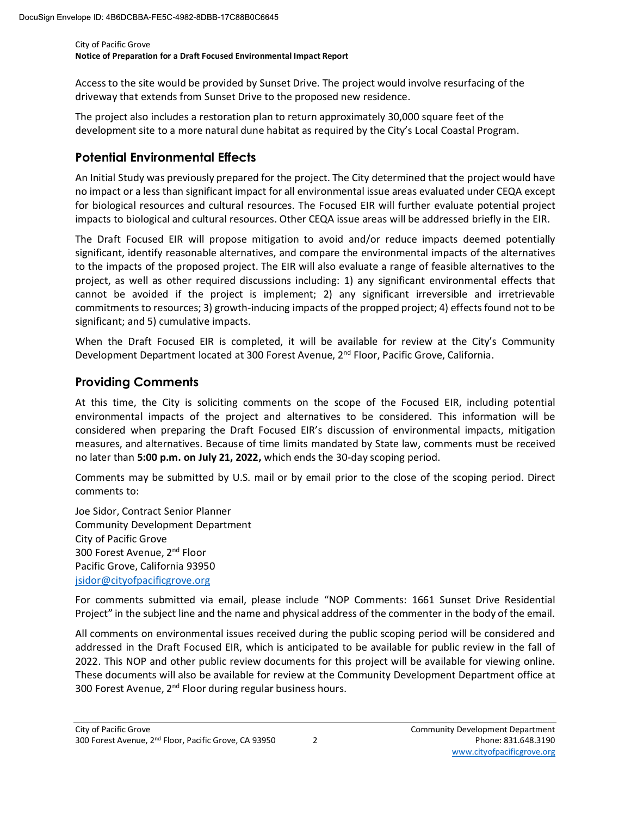City of Pacific Grove Notice of Preparation for a Draft Focused Environmental Impact Report

Access to the site would be provided by Sunset Drive. The project would involve resurfacing of the driveway that extends from Sunset Drive to the proposed new residence.

The project also includes a restoration plan to return approximately 30,000 square feet of the development site to a more natural dune habitat as required by the City's Local Coastal Program.

### Potential Environmental Effects

An Initial Study was previously prepared for the project. The City determined that the project would have no impact or a less than significant impact for all environmental issue areas evaluated under CEQA except for biological resources and cultural resources. The Focused EIR will further evaluate potential project impacts to biological and cultural resources. Other CEQA issue areas will be addressed briefly in the EIR.

The Draft Focused EIR will propose mitigation to avoid and/or reduce impacts deemed potentially significant, identify reasonable alternatives, and compare the environmental impacts of the alternatives to the impacts of the proposed project. The EIR will also evaluate a range of feasible alternatives to the project, as well as other required discussions including: 1) any significant environmental effects that cannot be avoided if the project is implement; 2) any significant irreversible and irretrievable commitments to resources; 3) growth-inducing impacts of the propped project; 4) effects found not to be significant; and 5) cumulative impacts.

When the Draft Focused EIR is completed, it will be available for review at the City's Community Development Department located at 300 Forest Avenue, 2<sup>nd</sup> Floor, Pacific Grove, California.

## Providing Comments

At this time, the City is soliciting comments on the scope of the Focused EIR, including potential environmental impacts of the project and alternatives to be considered. This information will be considered when preparing the Draft Focused EIR's discussion of environmental impacts, mitigation measures, and alternatives. Because of time limits mandated by State law, comments must be received no later than 5:00 p.m. on July 21, 2022, which ends the 30-day scoping period.

Comments may be submitted by U.S. mail or by email prior to the close of the scoping period. Direct comments to:

Joe Sidor, Contract Senior Planner Community Development Department City of Pacific Grove 300 Forest Avenue, 2<sup>nd</sup> Floor Pacific Grove, California 93950 jsidor@cityofpacificgrove.org

For comments submitted via email, please include "NOP Comments: 1661 Sunset Drive Residential Project" in the subject line and the name and physical address of the commenter in the body of the email.

Use Sidor, Contract Senior Planner<br>
City of Pacific Grove<br>
City of Pacific Grove<br>
300 Forest Avenue, 2<sup>nd</sup> Floor<br>
Pacific Grove. Calitorina 93950<br>
Pacific Grove.<br>
For comments submitted via email, please include "NOP Comme All comments on environmental issues received during the public scoping period will be considered and addressed in the Draft Focused EIR, which is anticipated to be available for public review in the fall of 2022. This NOP and other public review documents for this project will be available for viewing online. These documents will also be available for review at the Community Development Department office at 300 Forest Avenue, 2<sup>nd</sup> Floor during regular business hours.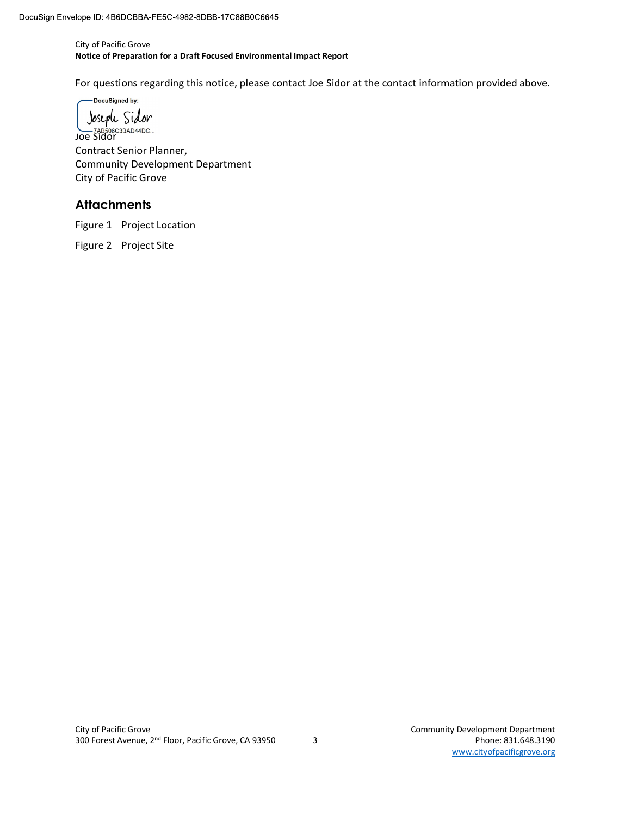City of Pacific Grove Notice of Preparation for a Draft Focused Environmental Impact Report

For questions regarding this notice, please contact Joe Sidor at the contact information provided above.

DocuSigned by:

Joseph Sidor TAB506C3BAD44DC... Contract Senior Planner, Community Development Department City of Pacific Grove

#### **Attachments**

Figure 1 Project Location

Figure 2 Project Site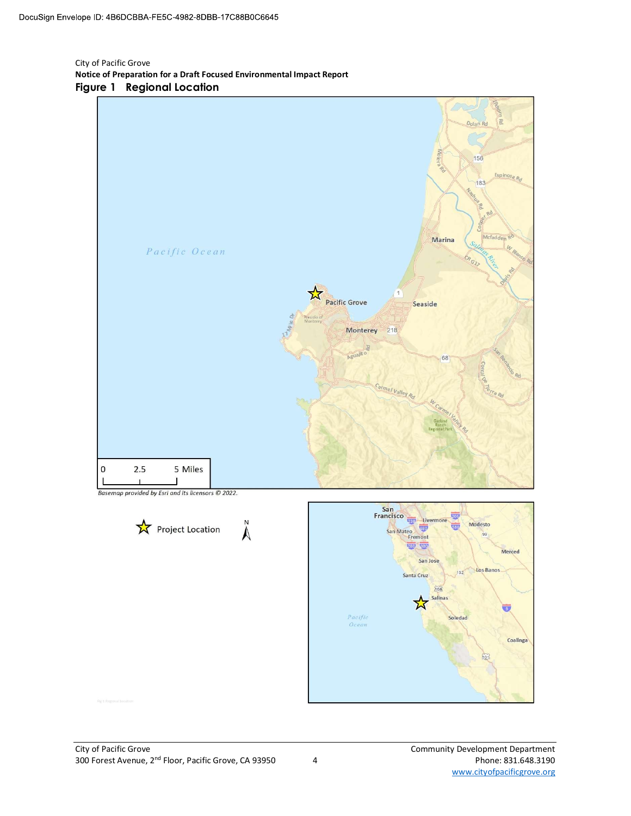